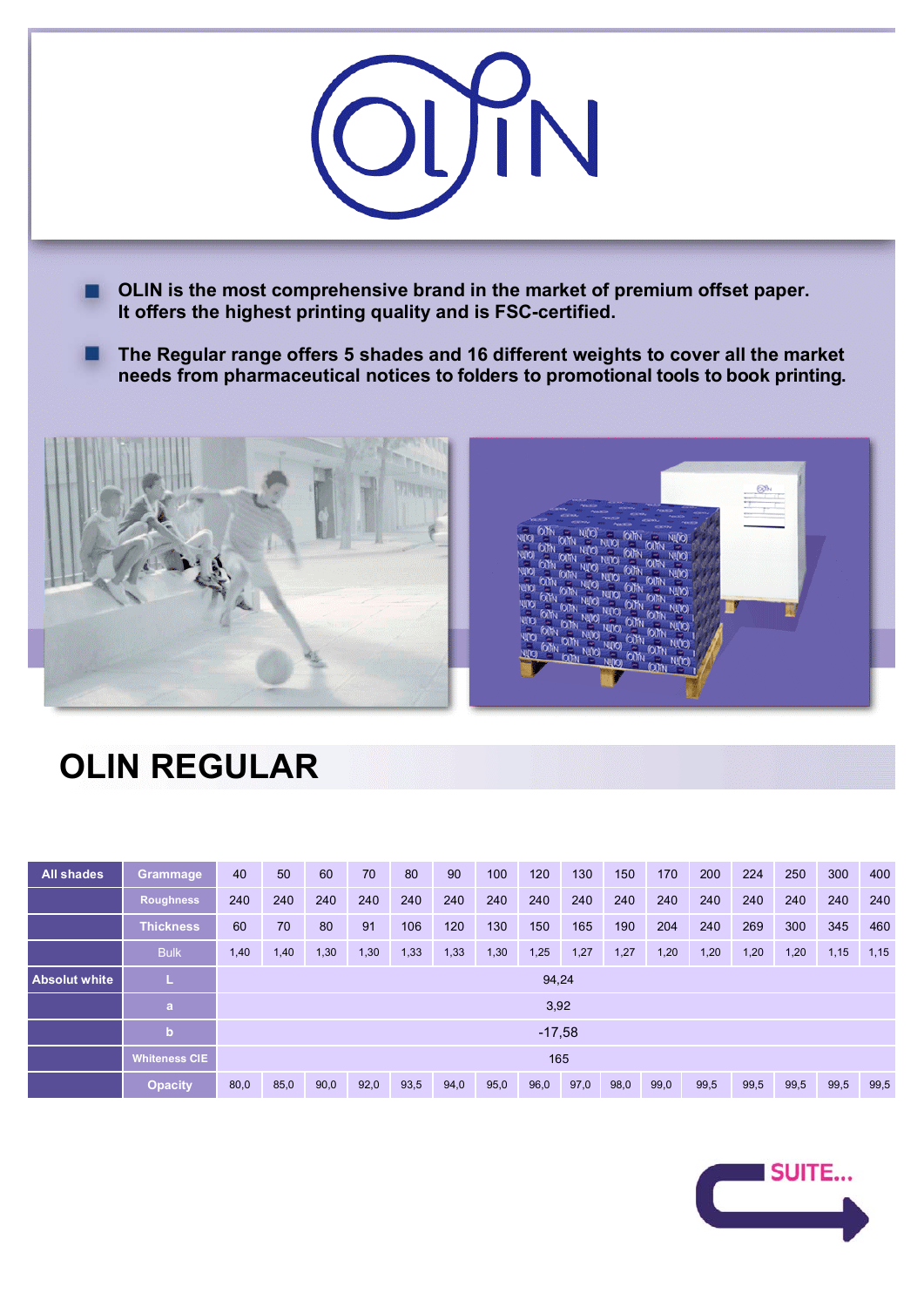

**The Regular range offers 5 shades and 16 different weights to cover all the market needs from pharmaceutical notices to folders to promotional tools to book printing.** 



## **OLIN REGULAR**

| All shades           | Grammage             | 40       | 50   | 60   | 70   | 80   | 90   | 100  | 120  | 130  | 150  | 170  | 200  | 224  | 250  | 300  | 400  |
|----------------------|----------------------|----------|------|------|------|------|------|------|------|------|------|------|------|------|------|------|------|
|                      | <b>Roughness</b>     | 240      | 240  | 240  | 240  | 240  | 240  | 240  | 240  | 240  | 240  | 240  | 240  | 240  | 240  | 240  | 240  |
|                      | <b>Thickness</b>     | 60       | 70   | 80   | 91   | 106  | 120  | 130  | 150  | 165  | 190  | 204  | 240  | 269  | 300  | 345  | 460  |
|                      | <b>Bulk</b>          | 1,40     | 1,40 | 1,30 | 1,30 | 1,33 | 1,33 | 1,30 | 1,25 | 1,27 | 1,27 | 1,20 | 1,20 | 1,20 | 1,20 | 1,15 | 1,15 |
| <b>Absolut white</b> | L                    | 94,24    |      |      |      |      |      |      |      |      |      |      |      |      |      |      |      |
|                      | $\mathbf{a}$         | 3,92     |      |      |      |      |      |      |      |      |      |      |      |      |      |      |      |
|                      | $\mathbf b$          | $-17,58$ |      |      |      |      |      |      |      |      |      |      |      |      |      |      |      |
|                      | <b>Whiteness CIE</b> | 165      |      |      |      |      |      |      |      |      |      |      |      |      |      |      |      |
|                      | <b>Opacity</b>       | 80,0     | 85,0 | 90,0 | 92,0 | 93,5 | 94,0 | 95,0 | 96,0 | 97,0 | 98,0 | 99,0 | 99,5 | 99,5 | 99,5 | 99,5 | 99,5 |